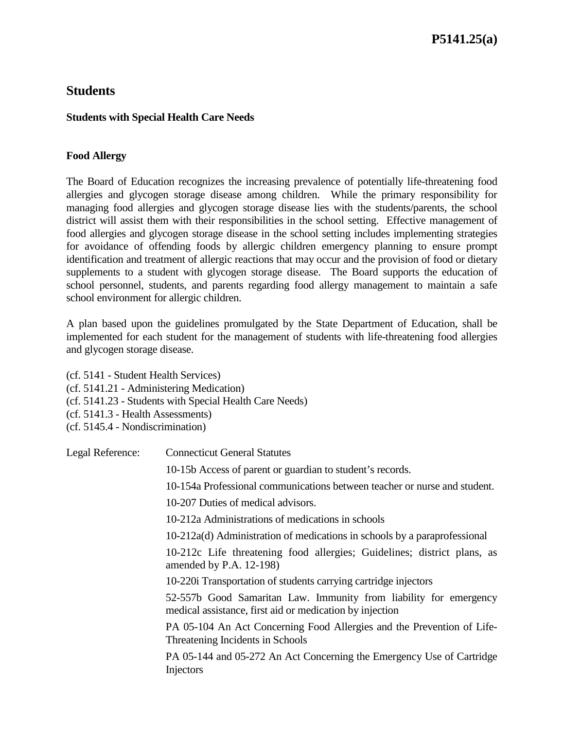# **P5141.25(a)**

## **Students**

#### **Students with Special Health Care Needs**

#### **Food Allergy**

The Board of Education recognizes the increasing prevalence of potentially life-threatening food allergies and glycogen storage disease among children. While the primary responsibility for managing food allergies and glycogen storage disease lies with the students/parents, the school district will assist them with their responsibilities in the school setting. Effective management of food allergies and glycogen storage disease in the school setting includes implementing strategies for avoidance of offending foods by allergic children emergency planning to ensure prompt identification and treatment of allergic reactions that may occur and the provision of food or dietary supplements to a student with glycogen storage disease. The Board supports the education of school personnel, students, and parents regarding food allergy management to maintain a safe school environment for allergic children.

A plan based upon the guidelines promulgated by the State Department of Education, shall be implemented for each student for the management of students with life-threatening food allergies and glycogen storage disease.

(cf. 5141 - Student Health Services) (cf. 5141.21 - Administering Medication) (cf. 5141.23 - Students with Special Health Care Needs) (cf. 5141.3 - Health Assessments) (cf. 5145.4 - Nondiscrimination)

| Legal Reference: | <b>Connecticut General Statutes</b>                                                                                           |
|------------------|-------------------------------------------------------------------------------------------------------------------------------|
|                  | 10-15b Access of parent or guardian to student's records.                                                                     |
|                  | 10-154a Professional communications between teacher or nurse and student.                                                     |
|                  | 10-207 Duties of medical advisors.                                                                                            |
|                  | 10-212a Administrations of medications in schools                                                                             |
|                  | 10-212a(d) Administration of medications in schools by a paraprofessional                                                     |
|                  | 10-212c Life threatening food allergies; Guidelines; district plans, as<br>amended by P.A. $12-198$ )                         |
|                  | 10-220 Transportation of students carrying cartridge injectors                                                                |
|                  | 52-557b Good Samaritan Law. Immunity from liability for emergency<br>medical assistance, first aid or medication by injection |
|                  | PA 05-104 An Act Concerning Food Allergies and the Prevention of Life-<br>Threatening Incidents in Schools                    |
|                  | PA 05-144 and 05-272 An Act Concerning the Emergency Use of Cartridge<br>Injectors                                            |